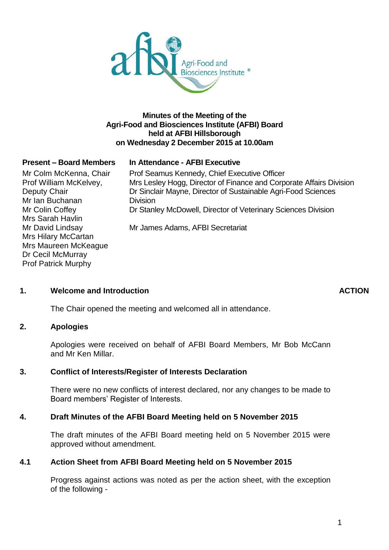

# **Minutes of the Meeting of the Agri-Food and Biosciences Institute (AFBI) Board held at AFBI Hillsborough on Wednesday 2 December 2015 at 10.00am**

## **Present – Board Members In Attendance - AFBI Executive**

Mr Colm McKenna, Chair Prof William McKelvey, Deputy Chair Mr Ian Buchanan Mr Colin Coffey Mrs Sarah Havlin Mr David Lindsay Mrs Hilary McCartan Mrs Maureen McKeague Dr Cecil McMurray Prof Patrick Murphy

Prof Seamus Kennedy, Chief Executive Officer Mrs Lesley Hogg, Director of Finance and Corporate Affairs Division Dr Sinclair Mayne, Director of Sustainable Agri-Food Sciences **Division** Dr Stanley McDowell, Director of Veterinary Sciences Division Mr James Adams, AFBI Secretariat

## **1. Welcome and Introduction ACTION**

The Chair opened the meeting and welcomed all in attendance.

## **2. Apologies**

Apologies were received on behalf of AFBI Board Members, Mr Bob McCann and Mr Ken Millar.

## **3. Conflict of Interests/Register of Interests Declaration**

There were no new conflicts of interest declared, nor any changes to be made to Board members' Register of Interests.

## **4. Draft Minutes of the AFBI Board Meeting held on 5 November 2015**

The draft minutes of the AFBI Board meeting held on 5 November 2015 were approved without amendment.

## **4.1 Action Sheet from AFBI Board Meeting held on 5 November 2015**

Progress against actions was noted as per the action sheet, with the exception of the following -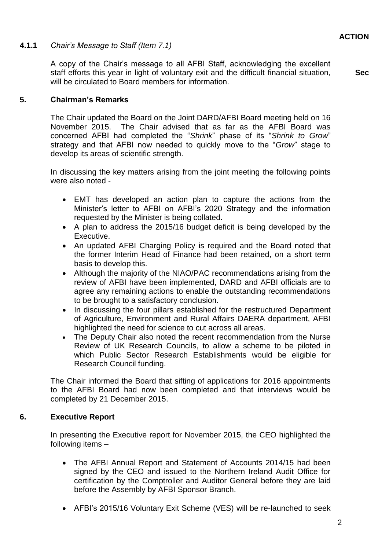# **4.1.1** *Chair's Message to Staff (Item 7.1)*

A copy of the Chair's message to all AFBI Staff, acknowledging the excellent staff efforts this year in light of voluntary exit and the difficult financial situation, will be circulated to Board members for information.

**Sec**

# **5. Chairman's Remarks**

The Chair updated the Board on the Joint DARD/AFBI Board meeting held on 16 November 2015. The Chair advised that as far as the AFBI Board was concerned AFBI had completed the "*Shrink*" phase of its "*Shrink to Grow*" strategy and that AFBI now needed to quickly move to the "*Grow*" stage to develop its areas of scientific strength.

In discussing the key matters arising from the joint meeting the following points were also noted -

- EMT has developed an action plan to capture the actions from the Minister's letter to AFBI on AFBI's 2020 Strategy and the information requested by the Minister is being collated.
- A plan to address the 2015/16 budget deficit is being developed by the Executive.
- An updated AFBI Charging Policy is required and the Board noted that the former Interim Head of Finance had been retained, on a short term basis to develop this.
- Although the majority of the NIAO/PAC recommendations arising from the review of AFBI have been implemented, DARD and AFBI officials are to agree any remaining actions to enable the outstanding recommendations to be brought to a satisfactory conclusion.
- In discussing the four pillars established for the restructured Department of Agriculture, Environment and Rural Affairs DAERA department, AFBI highlighted the need for science to cut across all areas.
- The Deputy Chair also noted the recent recommendation from the Nurse Review of UK Research Councils, to allow a scheme to be piloted in which Public Sector Research Establishments would be eligible for Research Council funding.

The Chair informed the Board that sifting of applications for 2016 appointments to the AFBI Board had now been completed and that interviews would be completed by 21 December 2015.

## **6. Executive Report**

In presenting the Executive report for November 2015, the CEO highlighted the following items –

- The AFBI Annual Report and Statement of Accounts 2014/15 had been signed by the CEO and issued to the Northern Ireland Audit Office for certification by the Comptroller and Auditor General before they are laid before the Assembly by AFBI Sponsor Branch.
- AFBI's 2015/16 Voluntary Exit Scheme (VES) will be re-launched to seek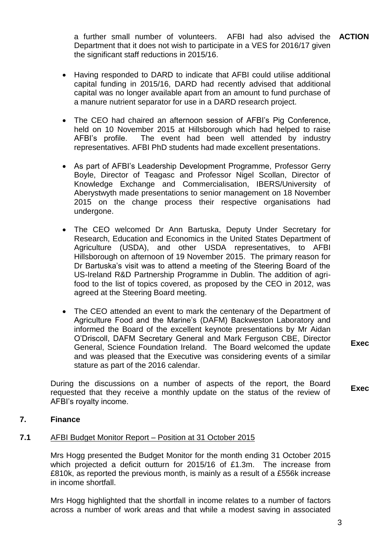a further small number of volunteers. Department that it does not wish to participate in a VES for 2016/17 given the significant staff reductions in 2015/16. AFBI had also advised the **ACTION** 

- Having responded to DARD to indicate that AFBI could utilise additional capital funding in 2015/16, DARD had recently advised that additional capital was no longer available apart from an amount to fund purchase of a manure nutrient separator for use in a DARD research project.
- The CEO had chaired an afternoon session of AFBI's Pig Conference, held on 10 November 2015 at Hillsborough which had helped to raise AFBI's profile. The event had been well attended by industry representatives. AFBI PhD students had made excellent presentations.
- As part of AFBI's Leadership Development Programme, Professor Gerry Boyle, Director of Teagasc and Professor Nigel Scollan, Director of Knowledge Exchange and Commercialisation, IBERS/University of Aberystwyth made presentations to senior management on 18 November 2015 on the change process their respective organisations had undergone.
- The CEO welcomed Dr Ann Bartuska, Deputy Under Secretary for Research, Education and Economics in the United States Department of Agriculture (USDA), and other USDA representatives, to AFBI Hillsborough on afternoon of 19 November 2015. The primary reason for Dr Bartuska's visit was to attend a meeting of the Steering Board of the US-Ireland R&D Partnership Programme in Dublin. The addition of agrifood to the list of topics covered, as proposed by the CEO in 2012, was agreed at the Steering Board meeting.
- The CEO attended an event to mark the centenary of the Department of Agriculture Food and the Marine's (DAFM) Backweston Laboratory and informed the Board of the excellent keynote presentations by Mr Aidan O'Driscoll, DAFM Secretary General and Mark Ferguson CBE, Director General, Science Foundation Ireland. The Board welcomed the update and was pleased that the Executive was considering events of a similar stature as part of the 2016 calendar.

During the discussions on a number of aspects of the report, the Board requested that they receive a monthly update on the status of the review of AFBI's royalty income.

**Exec**

**Exec**

## **7. Finance**

# **7.1** AFBI Budget Monitor Report – Position at 31 October 2015

Mrs Hogg presented the Budget Monitor for the month ending 31 October 2015 which projected a deficit outturn for 2015/16 of £1.3m. The increase from £810k, as reported the previous month, is mainly as a result of a £556k increase in income shortfall.

Mrs Hogg highlighted that the shortfall in income relates to a number of factors across a number of work areas and that while a modest saving in associated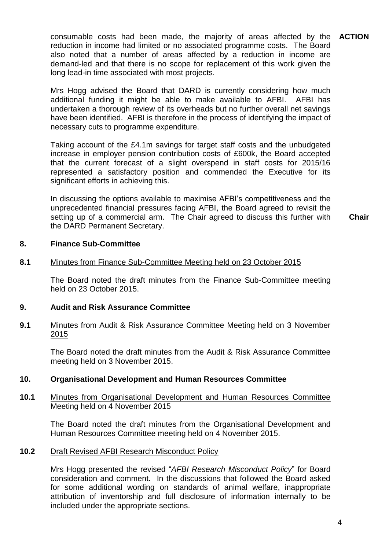consumable costs had been made, the majority of areas affected by the **ACTION** reduction in income had limited or no associated programme costs. The Board also noted that a number of areas affected by a reduction in income are demand-led and that there is no scope for replacement of this work given the long lead-in time associated with most projects.

Mrs Hogg advised the Board that DARD is currently considering how much additional funding it might be able to make available to AFBI. AFBI has undertaken a thorough review of its overheads but no further overall net savings have been identified. AFBI is therefore in the process of identifying the impact of necessary cuts to programme expenditure.

Taking account of the £4.1m savings for target staff costs and the unbudgeted increase in employer pension contribution costs of £600k, the Board accepted that the current forecast of a slight overspend in staff costs for 2015/16 represented a satisfactory position and commended the Executive for its significant efforts in achieving this.

In discussing the options available to maximise AFBI's competitiveness and the unprecedented financial pressures facing AFBI, the Board agreed to revisit the setting up of a commercial arm. The Chair agreed to discuss this further with the DARD Permanent Secretary.

**Chair**

#### **8. Finance Sub-Committee**

#### **8.1** Minutes from Finance Sub-Committee Meeting held on 23 October 2015

The Board noted the draft minutes from the Finance Sub-Committee meeting held on 23 October 2015.

#### **9. Audit and Risk Assurance Committee**

## **9.1** Minutes from Audit & Risk Assurance Committee Meeting held on 3 November 2015

The Board noted the draft minutes from the Audit & Risk Assurance Committee meeting held on 3 November 2015.

#### **10. Organisational Development and Human Resources Committee**

### **10.1** Minutes from Organisational Development and Human Resources Committee Meeting held on 4 November 2015

The Board noted the draft minutes from the Organisational Development and Human Resources Committee meeting held on 4 November 2015.

## **10.2** Draft Revised AFBI Research Misconduct Policy

Mrs Hogg presented the revised "*AFBI Research Misconduct Policy*" for Board consideration and comment. In the discussions that followed the Board asked for some additional wording on standards of animal welfare, inappropriate attribution of inventorship and full disclosure of information internally to be included under the appropriate sections.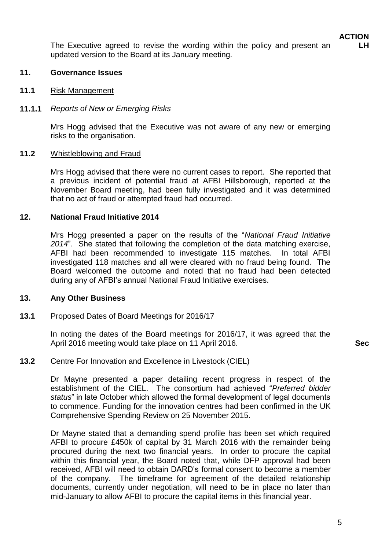The Executive agreed to revise the wording within the policy and present an updated version to the Board at its January meeting.

## **11. Governance Issues**

### **11.1** Risk Management

### **11.1.1** *Reports of New or Emerging Risks*

Mrs Hogg advised that the Executive was not aware of any new or emerging risks to the organisation.

### **11.2** Whistleblowing and Fraud

Mrs Hogg advised that there were no current cases to report. She reported that a previous incident of potential fraud at AFBI Hillsborough, reported at the November Board meeting, had been fully investigated and it was determined that no act of fraud or attempted fraud had occurred.

### **12. National Fraud Initiative 2014**

Mrs Hogg presented a paper on the results of the "*National Fraud Initiative 2014*". She stated that following the completion of the data matching exercise, AFBI had been recommended to investigate 115 matches. In total AFBI investigated 118 matches and all were cleared with no fraud being found. The Board welcomed the outcome and noted that no fraud had been detected during any of AFBI's annual National Fraud Initiative exercises.

#### **13. Any Other Business**

## **13.1** Proposed Dates of Board Meetings for 2016/17

In noting the dates of the Board meetings for 2016/17, it was agreed that the April 2016 meeting would take place on 11 April 2016. **Sec**

## **13.2** Centre For Innovation and Excellence in Livestock (CIEL)

Dr Mayne presented a paper detailing recent progress in respect of the establishment of the CIEL. The consortium had achieved "*Preferred bidder status*" in late October which allowed the formal development of legal documents to commence. Funding for the innovation centres had been confirmed in the UK Comprehensive Spending Review on 25 November 2015.

Dr Mayne stated that a demanding spend profile has been set which required AFBI to procure £450k of capital by 31 March 2016 with the remainder being procured during the next two financial years. In order to procure the capital within this financial year, the Board noted that, while DFP approval had been received, AFBI will need to obtain DARD's formal consent to become a member of the company. The timeframe for agreement of the detailed relationship documents, currently under negotiation, will need to be in place no later than mid-January to allow AFBI to procure the capital items in this financial year.